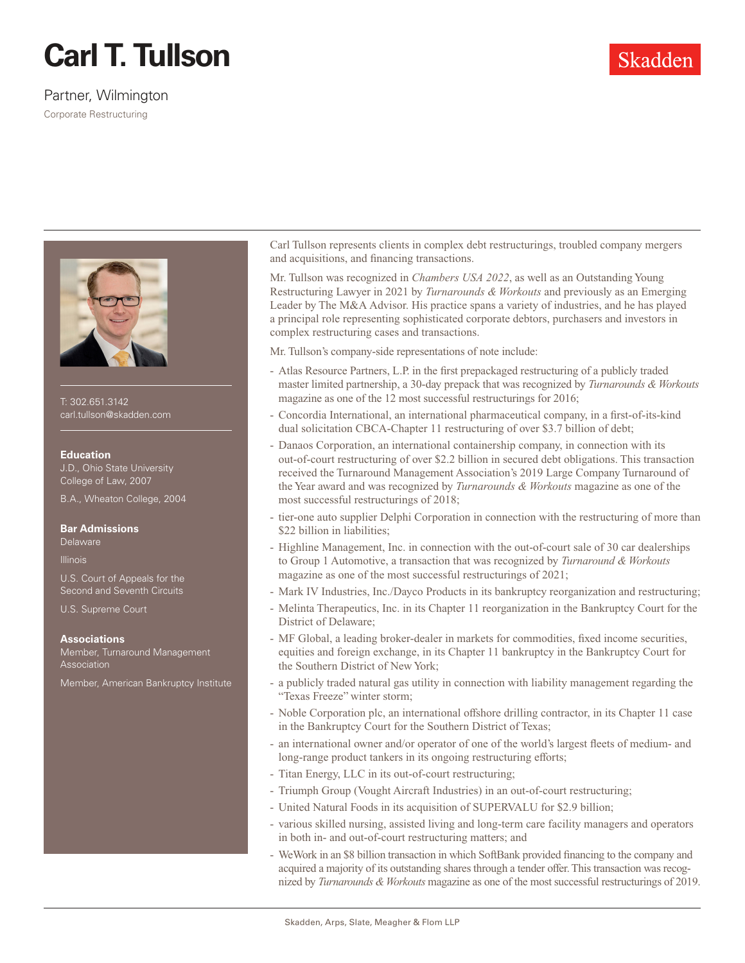# **Carl T. Tullson**

## Partner, Wilmington

Corporate Restructuring



T: 302.651.3142 carl.tullson@skadden.com

#### **Education**

J.D., Ohio State University College of Law, 2007

B.A., Wheaton College, 2004

### **Bar Admissions**

Delaware

Illinois

U.S. Court of Appeals for the Second and Seventh Circuits

U.S. Supreme Court

#### **Associations**

Member, Turnaround Management **Association** 

Member, American Bankruptcy Institute

Carl Tullson represents clients in complex debt restructurings, troubled company mergers and acquisitions, and financing transactions.

Mr. Tullson was recognized in *Chambers USA 2022*, as well as an Outstanding Young Restructuring Lawyer in 2021 by *Turnarounds & Workouts* and previously as an Emerging Leader by The M&A Advisor. His practice spans a variety of industries, and he has played a principal role representing sophisticated corporate debtors, purchasers and investors in complex restructuring cases and transactions.

Mr. Tullson's company-side representations of note include:

- Atlas Resource Partners, L.P. in the first prepackaged restructuring of a publicly traded master limited partnership, a 30-day prepack that was recognized by *Turnarounds & Workouts* magazine as one of the 12 most successful restructurings for 2016;
- Concordia International, an international pharmaceutical company, in a first-of-its-kind dual solicitation CBCA-Chapter 11 restructuring of over \$3.7 billion of debt;
- Danaos Corporation, an international containership company, in connection with its out-of-court restructuring of over \$2.2 billion in secured debt obligations. This transaction received the Turnaround Management Association's 2019 Large Company Turnaround of the Year award and was recognized by *Turnarounds & Workouts* magazine as one of the most successful restructurings of 2018;
- tier-one auto supplier Delphi Corporation in connection with the restructuring of more than \$22 billion in liabilities:
- Highline Management, Inc. in connection with the out-of-court sale of 30 car dealerships to Group 1 Automotive, a transaction that was recognized by *Turnaround & Workouts* magazine as one of the most successful restructurings of 2021;
- Mark IV Industries, Inc./Dayco Products in its bankruptcy reorganization and restructuring;
- Melinta Therapeutics, Inc. in its Chapter 11 reorganization in the Bankruptcy Court for the District of Delaware;
- MF Global, a leading broker-dealer in markets for commodities, fixed income securities, equities and foreign exchange, in its Chapter 11 bankruptcy in the Bankruptcy Court for the Southern District of New York;
- a publicly traded natural gas utility in connection with liability management regarding the "Texas Freeze" winter storm;
- Noble Corporation plc, an international offshore drilling contractor, in its Chapter 11 case in the Bankruptcy Court for the Southern District of Texas;
- an international owner and/or operator of one of the world's largest fleets of medium- and long-range product tankers in its ongoing restructuring efforts;
- Titan Energy, LLC in its out-of-court restructuring;
- Triumph Group (Vought Aircraft Industries) in an out-of-court restructuring;
- United Natural Foods in its acquisition of SUPERVALU for \$2.9 billion;
- various skilled nursing, assisted living and long-term care facility managers and operators in both in- and out-of-court restructuring matters; and
- WeWork in an \$8 billion transaction in which SoftBank provided financing to the company and acquired a majority of its outstanding shares through a tender offer. This transaction was recognized by *Turnarounds & Workouts* magazine as one of the most successful restructurings of 2019.